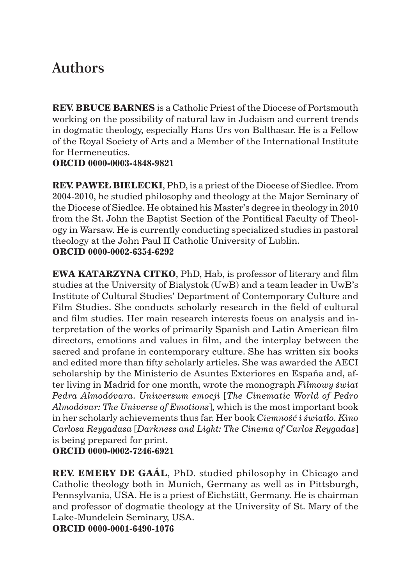## Authors

**REV. BRUCE BARNES** is a Catholic Priest of the Diocese of Portsmouth working on the possibility of natural law in Judaism and current trends in dogmatic theology, especially Hans Urs von Balthasar. He is a Fellow of the Royal Society of Arts and a Member of the International Institute for Hermeneutics.

## **ORCID 0000-0003-4848-9821**

**REV. PAWEŁ BIELECKI**, PhD, is a priest of the Diocese of Siedlce. From 2004-2010, he studied philosophy and theology at the Major Seminary of the Diocese of Siedlce. He obtained his Master's degree in theology in 2010 from the St. John the Baptist Section of the Pontifical Faculty of Theology in Warsaw. He is currently conducting specialized studies in pastoral theology at the John Paul II Catholic University of Lublin. **ORCID 0000-0002-6354-6292**

**EWA KATARZYNA CITKO**, PhD, Hab, is professor of literary and film studies at the University of Bialystok (UwB) and a team leader in UwB's Institute of Cultural Studies' Department of Contemporary Culture and Film Studies. She conducts scholarly research in the field of cultural and film studies. Her main research interests focus on analysis and interpretation of the works of primarily Spanish and Latin American film directors, emotions and values in film, and the interplay between the sacred and profane in contemporary culture. She has written six books and edited more than fifty scholarly articles. She was awarded the AECI scholarship by the Ministerio de Asuntes Exteriores en España and, after living in Madrid for one month, wrote the monograph *Filmowy świat Pedra Almodóvara. Uniwersum emocji* [*The Cinematic World of Pedro Almodóvar: The Universe of Emotions*], which is the most important book in her scholarly achievements thus far. Her book *Ciemność i światło. Kino Carlosa Reygadasa* [*Darkness and Light: The Cinema of Carlos Reygadas*] is being prepared for print.

**ORCID 0000-0002-7246-6921**

**REV. EMERY DE GAÁL**, PhD. studied philosophy in Chicago and Catholic theology both in Munich, Germany as well as in Pittsburgh, Pennsylvania, USA. He is a priest of Eichstätt, Germany. He is chairman and professor of dogmatic theology at the University of St. Mary of the Lake-Mundelein Seminary, USA.

**ORCID 0000-0001-6490-1076**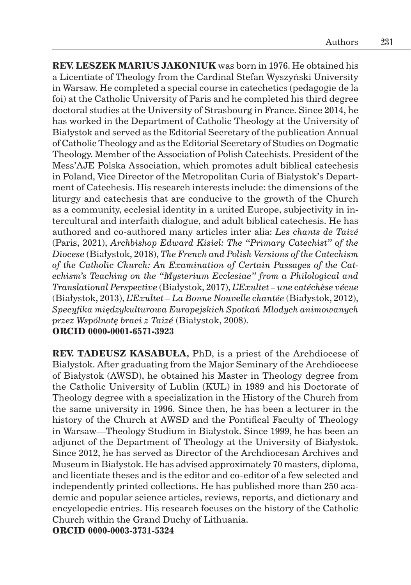**REV. LESZEK MARIUS JAKONIUK** was born in 1976. He obtained his a Licentiate of Theology from the Cardinal Stefan Wyszyński University in Warsaw. He completed a special course in catechetics (pedagogie de la foi) at the Catholic University of Paris and he completed his third degree doctoral studies at the University of Strasbourg in France. Since 2014, he has worked in the Department of Catholic Theology at the University of Białystok and served as the Editorial Secretary of the publication Annual of Catholic Theology and as the Editorial Secretary of Studies on Dogmatic Theology. Member of the Association of Polish Catechists. President of the Mess'AJE Polska Association, which promotes adult biblical catechesis in Poland, Vice Director of the Metropolitan Curia of Białystok's Department of Catechesis. His research interests include: the dimensions of the liturgy and catechesis that are conducive to the growth of the Church as a community, ecclesial identity in a united Europe, subjectivity in intercultural and interfaith dialogue, and adult biblical catechesis. He has authored and co-authored many articles inter alia: *Les chants de Taizé* (Paris, 2021), *Archbishop Edward Kisiel: The "Primary Catechist" of the Diocese* (Białystok, 2018), *The French and Polish Versions of the Catechism of the Catholic Church: An Examination of Certain Passages of the Catechism's Teaching on the "Mysterium Ecclesiae" from a Philological and Translational Perspective* (Białystok, 2017), *L'Exultet – une catéchèse vécue* (Białystok, 2013), *L'Exultet – La Bonne Nouvelle chantée* (Białystok, 2012), *Specyfika międzykulturowa Europejskich Spotkań Młodych animowanych przez Wspólnotę braci z Taizé* (Białystok, 2008). **ORCID 0000-0001-6571-3923**

**REV. TADEUSZ KASABUŁA,** PhD, is a priest of the Archdiocese of Białystok. After graduating from the Major Seminary of the Archdiocese of Białystok (AWSD), he obtained his Master in Theology degree from the Catholic University of Lublin (KUL) in 1989 and his Doctorate of Theology degree with a specialization in the History of the Church from the same university in 1996. Since then, he has been a lecturer in the history of the Church at AWSD and the Pontifical Faculty of Theology in Warsaw—Theology Studium in Białystok. Since 1999, he has been an adjunct of the Department of Theology at the University of Białystok. Since 2012, he has served as Director of the Archdiocesan Archives and Museum in Białystok. He has advised approximately 70 masters, diploma, and licentiate theses and is the editor and co-editor of a few selected and independently printed collections. He has published more than 250 academic and popular science articles, reviews, reports, and dictionary and encyclopedic entries. His research focuses on the history of the Catholic Church within the Grand Duchy of Lithuania.

**ORCID 0000-0003-3731-5324**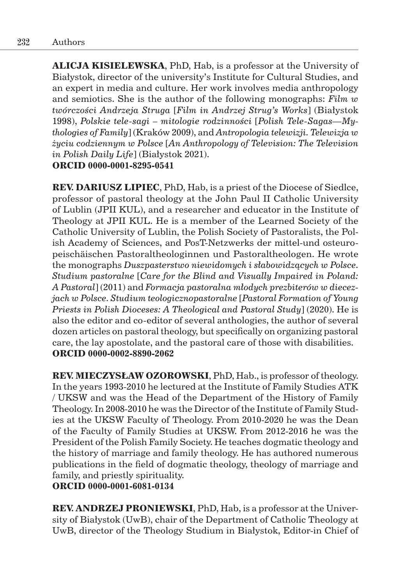**ALICJA KISIELEWSKA**, PhD, Hab, is a professor at the University of Białystok, director of the university's Institute for Cultural Studies, and an expert in media and culture. Her work involves media anthropology and semiotics. She is the author of the following monographs: *Film w twórczości Andrzeja Struga* [*Film in Andrzej Strug's Works*] (Białystok 1998), *Polskie tele-sagi – mitologie rodzinności* [*Polish Tele-Sagas—Mythologies of Family*] (Kraków 2009), and *Antropologia telewizji. Telewizja w życiu codziennym w Polsce* [*An Anthropology of Television: The Television in Polish Daily Life*] (Białystok 2021).

**ORCID 0000-0001-8295-0541**

**REV. DARIUSZ LIPIEC**, PhD, Hab, is a priest of the Diocese of Siedlce, professor of pastoral theology at the John Paul II Catholic University of Lublin (JPII KUL), and a researcher and educator in the Institute of Theology at JPII KUL. He is a member of the Learned Society of the Catholic University of Lublin, the Polish Society of Pastoralists, the Polish Academy of Sciences, and PosT-Netzwerks der mittel-und osteuropeischäischen Pastoraltheologinnen und Pastoraltheologen. He wrote the monographs *Duszpasterstwo niewidomych i słabowidzących w Polsce. Studium pastoralne* [*Care for the Blind and Visually Impaired in Poland: A Pastoral*] (2011) and *Formacja pastoralna młodych prezbiterów w diecezjach w Polsce. Studium teologicznopastoralne* [*Pastoral Formation of Young Priests in Polish Dioceses: A Theological and Pastoral Study*] (2020). He is also the editor and co-editor of several anthologies, the author of several dozen articles on pastoral theology, but specifically on organizing pastoral care, the lay apostolate, and the pastoral care of those with disabilities. **ORCID 0000-0002-8890-2062**

**REV. MIECZYSŁAW OZOROWSKI**, PhD, Hab., is professor of theology. In the years 1993-2010 he lectured at the Institute of Family Studies ATK / UKSW and was the Head of the Department of the History of Family Theology. In 2008-2010 he was the Director of the Institute of Family Studies at the UKSW Faculty of Theology. From 2010-2020 he was the Dean of the Faculty of Family Studies at UKSW. From 2012-2016 he was the President of the Polish Family Society. He teaches dogmatic theology and the history of marriage and family theology. He has authored numerous publications in the field of dogmatic theology, theology of marriage and family, and priestly spirituality.

**ORCID 0000-0001-6081-0134**

**REV. ANDRZEJ PRONIEWSKI**, PhD, Hab, is a professor at the University of Białystok (UwB), chair of the Department of Catholic Theology at UwB, director of the Theology Studium in Białystok, Editor-in Chief of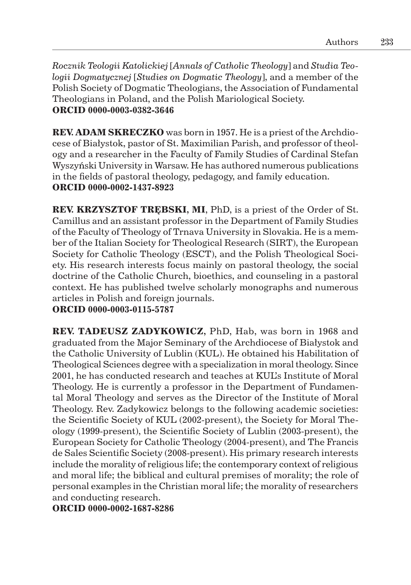*Rocznik Teologii Katolickiej* [*Annals of Catholic Theology*] and *Studia Teologii Dogmatycznej* [*Studies on Dogmatic Theology*], and a member of the Polish Society of Dogmatic Theologians, the Association of Fundamental Theologians in Poland, and the Polish Mariological Society. **ORCID 0000-0003-0382-3646**

**REV. ADAM SKRECZKO** was born in 1957. He is a priest of the Archdiocese of Białystok, pastor of St. Maximilian Parish, and professor of theology and a researcher in the Faculty of Family Studies of Cardinal Stefan Wyszyński University in Warsaw. He has authored numerous publications in the fields of pastoral theology, pedagogy, and family education. **ORCID 0000-0002-1437-8923**

**REV. KRZYSZTOF TRĘBSKI, MI**, PhD, is a priest of the Order of St. Camillus and an assistant professor in the Department of Family Studies of the Faculty of Theology of Trnava University in Slovakia. He is a member of the Italian Society for Theological Research (SIRT), the European Society for Catholic Theology (ESCT), and the Polish Theological Society. His research interests focus mainly on pastoral theology, the social doctrine of the Catholic Church, bioethics, and counseling in a pastoral context. He has published twelve scholarly monographs and numerous articles in Polish and foreign journals.

**ORCID 0000-0003-0115-5787**

**REV. TADEUSZ ZADYKOWICZ,** PhD, Hab, was born in 1968 and graduated from the Major Seminary of the Archdiocese of Białystok and the Catholic University of Lublin (KUL). He obtained his Habilitation of Theological Sciences degree with a specialization in moral theology. Since 2001, he has conducted research and teaches at KUL's Institute of Moral Theology. He is currently a professor in the Department of Fundamental Moral Theology and serves as the Director of the Institute of Moral Theology. Rev. Zadykowicz belongs to the following academic societies: the Scientific Society of KUL (2002-present), the Society for Moral Theology (1999-present), the Scientific Society of Lublin (2003-present), the European Society for Catholic Theology (2004-present), and The Francis de Sales Scientific Society (2008-present). His primary research interests include the morality of religious life; the contemporary context of religious and moral life; the biblical and cultural premises of morality; the role of personal examples in the Christian moral life; the morality of researchers and conducting research.

**ORCID 0000-0002-1687-8286**